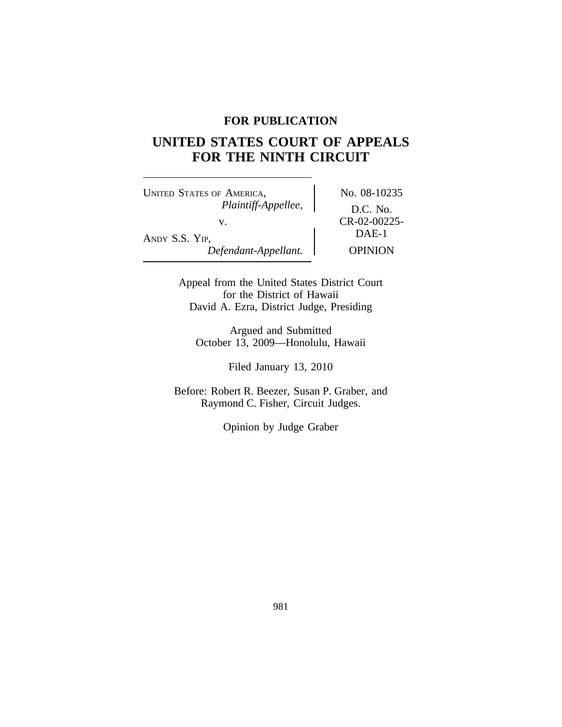## **FOR PUBLICATION**

# **UNITED STATES COURT OF APPEALS FOR THE NINTH CIRCUIT**

UNITED STATES OF AMERICA, No. 08-10235 *Plaintiff-Appellee,* D.C. No. v. CR-02-00225-<br>DAE-1 ANDY S.S. YIP,<br>Defendant-Appellant. Depinion  $Defendant-Appellant.$ 

Appeal from the United States District Court for the District of Hawaii David A. Ezra, District Judge, Presiding

Argued and Submitted October 13, 2009—Honolulu, Hawaii

Filed January 13, 2010

Before: Robert R. Beezer, Susan P. Graber, and Raymond C. Fisher, Circuit Judges.

Opinion by Judge Graber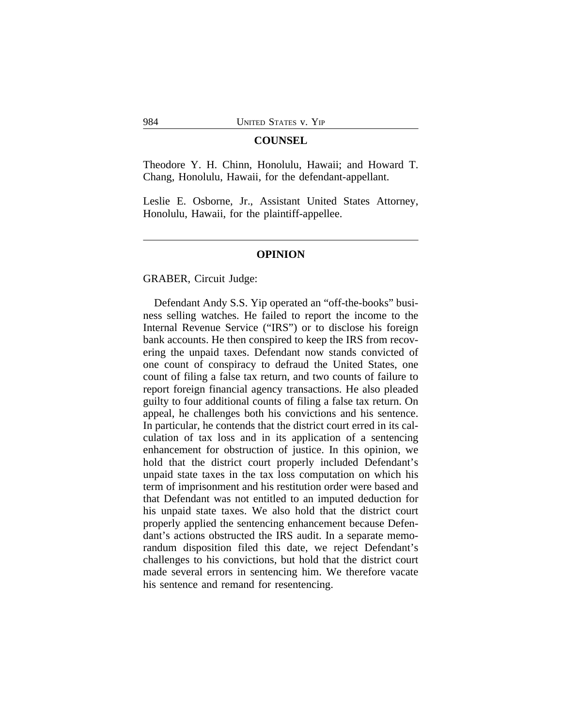#### **COUNSEL**

Theodore Y. H. Chinn, Honolulu, Hawaii; and Howard T. Chang, Honolulu, Hawaii, for the defendant-appellant.

Leslie E. Osborne, Jr., Assistant United States Attorney, Honolulu, Hawaii, for the plaintiff-appellee.

## **OPINION**

GRABER, Circuit Judge:

Defendant Andy S.S. Yip operated an "off-the-books" business selling watches. He failed to report the income to the Internal Revenue Service ("IRS") or to disclose his foreign bank accounts. He then conspired to keep the IRS from recovering the unpaid taxes. Defendant now stands convicted of one count of conspiracy to defraud the United States, one count of filing a false tax return, and two counts of failure to report foreign financial agency transactions. He also pleaded guilty to four additional counts of filing a false tax return. On appeal, he challenges both his convictions and his sentence. In particular, he contends that the district court erred in its calculation of tax loss and in its application of a sentencing enhancement for obstruction of justice. In this opinion, we hold that the district court properly included Defendant's unpaid state taxes in the tax loss computation on which his term of imprisonment and his restitution order were based and that Defendant was not entitled to an imputed deduction for his unpaid state taxes. We also hold that the district court properly applied the sentencing enhancement because Defendant's actions obstructed the IRS audit. In a separate memorandum disposition filed this date, we reject Defendant's challenges to his convictions, but hold that the district court made several errors in sentencing him. We therefore vacate his sentence and remand for resentencing.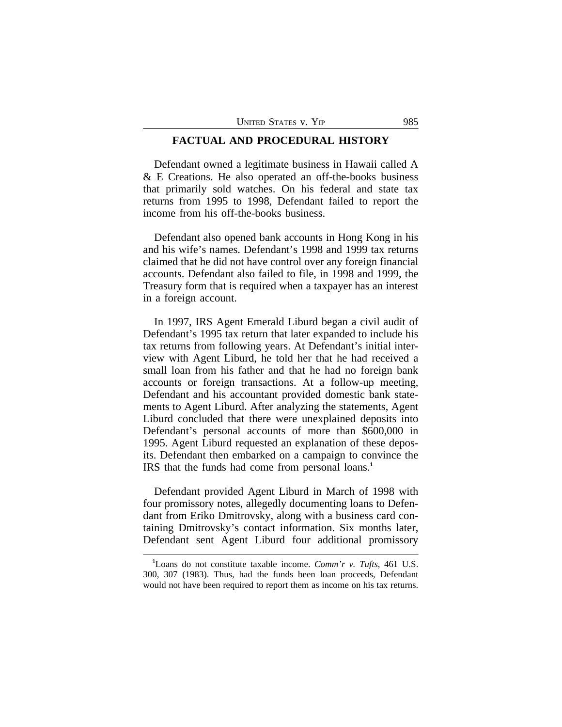## **FACTUAL AND PROCEDURAL HISTORY**

Defendant owned a legitimate business in Hawaii called A & E Creations. He also operated an off-the-books business that primarily sold watches. On his federal and state tax returns from 1995 to 1998, Defendant failed to report the income from his off-the-books business.

Defendant also opened bank accounts in Hong Kong in his and his wife's names. Defendant's 1998 and 1999 tax returns claimed that he did not have control over any foreign financial accounts. Defendant also failed to file, in 1998 and 1999, the Treasury form that is required when a taxpayer has an interest in a foreign account.

In 1997, IRS Agent Emerald Liburd began a civil audit of Defendant's 1995 tax return that later expanded to include his tax returns from following years. At Defendant's initial interview with Agent Liburd, he told her that he had received a small loan from his father and that he had no foreign bank accounts or foreign transactions. At a follow-up meeting, Defendant and his accountant provided domestic bank statements to Agent Liburd. After analyzing the statements, Agent Liburd concluded that there were unexplained deposits into Defendant's personal accounts of more than \$600,000 in 1995. Agent Liburd requested an explanation of these deposits. Defendant then embarked on a campaign to convince the IRS that the funds had come from personal loans.**<sup>1</sup>**

Defendant provided Agent Liburd in March of 1998 with four promissory notes, allegedly documenting loans to Defendant from Eriko Dmitrovsky, along with a business card containing Dmitrovsky's contact information. Six months later, Defendant sent Agent Liburd four additional promissory

**<sup>1</sup>**Loans do not constitute taxable income. *Comm'r v. Tufts*, 461 U.S. 300, 307 (1983). Thus, had the funds been loan proceeds, Defendant would not have been required to report them as income on his tax returns.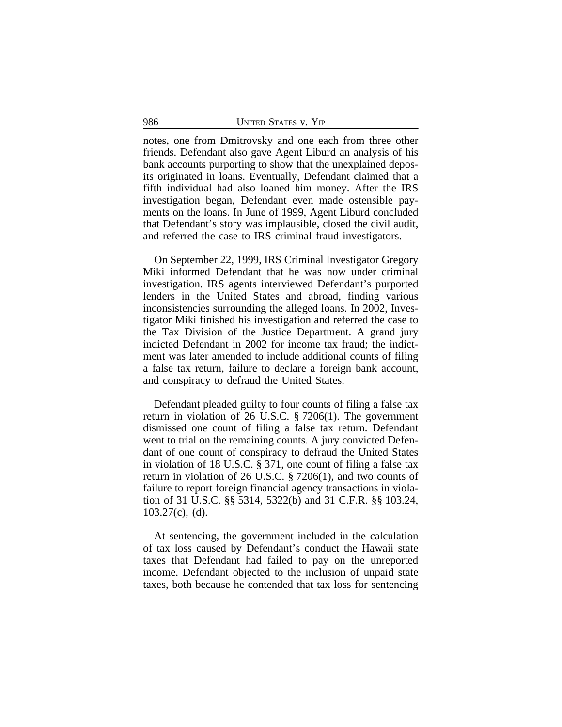notes, one from Dmitrovsky and one each from three other friends. Defendant also gave Agent Liburd an analysis of his bank accounts purporting to show that the unexplained deposits originated in loans. Eventually, Defendant claimed that a fifth individual had also loaned him money. After the IRS investigation began, Defendant even made ostensible payments on the loans. In June of 1999, Agent Liburd concluded that Defendant's story was implausible, closed the civil audit, and referred the case to IRS criminal fraud investigators.

On September 22, 1999, IRS Criminal Investigator Gregory Miki informed Defendant that he was now under criminal investigation. IRS agents interviewed Defendant's purported lenders in the United States and abroad, finding various inconsistencies surrounding the alleged loans. In 2002, Investigator Miki finished his investigation and referred the case to the Tax Division of the Justice Department. A grand jury indicted Defendant in 2002 for income tax fraud; the indictment was later amended to include additional counts of filing a false tax return, failure to declare a foreign bank account, and conspiracy to defraud the United States.

Defendant pleaded guilty to four counts of filing a false tax return in violation of 26 U.S.C. § 7206(1). The government dismissed one count of filing a false tax return. Defendant went to trial on the remaining counts. A jury convicted Defendant of one count of conspiracy to defraud the United States in violation of 18 U.S.C. § 371, one count of filing a false tax return in violation of 26 U.S.C. § 7206(1), and two counts of failure to report foreign financial agency transactions in violation of 31 U.S.C. §§ 5314, 5322(b) and 31 C.F.R. §§ 103.24, 103.27(c), (d).

At sentencing, the government included in the calculation of tax loss caused by Defendant's conduct the Hawaii state taxes that Defendant had failed to pay on the unreported income. Defendant objected to the inclusion of unpaid state taxes, both because he contended that tax loss for sentencing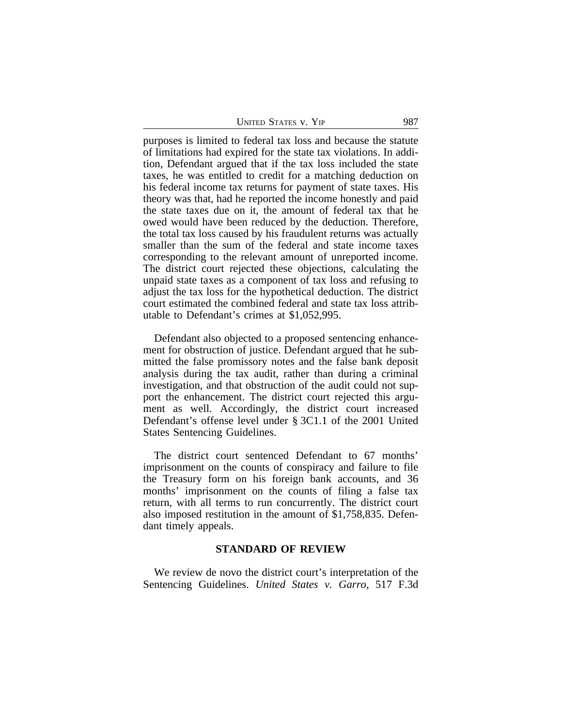| UNITED STATES V. YIP | 987 |
|----------------------|-----|
|                      |     |

purposes is limited to federal tax loss and because the statute of limitations had expired for the state tax violations. In addition, Defendant argued that if the tax loss included the state taxes, he was entitled to credit for a matching deduction on his federal income tax returns for payment of state taxes. His theory was that, had he reported the income honestly and paid the state taxes due on it, the amount of federal tax that he owed would have been reduced by the deduction. Therefore, the total tax loss caused by his fraudulent returns was actually smaller than the sum of the federal and state income taxes corresponding to the relevant amount of unreported income. The district court rejected these objections, calculating the unpaid state taxes as a component of tax loss and refusing to adjust the tax loss for the hypothetical deduction. The district court estimated the combined federal and state tax loss attributable to Defendant's crimes at \$1,052,995.

Defendant also objected to a proposed sentencing enhancement for obstruction of justice. Defendant argued that he submitted the false promissory notes and the false bank deposit analysis during the tax audit, rather than during a criminal investigation, and that obstruction of the audit could not support the enhancement. The district court rejected this argument as well. Accordingly, the district court increased Defendant's offense level under § 3C1.1 of the 2001 United States Sentencing Guidelines.

The district court sentenced Defendant to 67 months' imprisonment on the counts of conspiracy and failure to file the Treasury form on his foreign bank accounts, and 36 months' imprisonment on the counts of filing a false tax return, with all terms to run concurrently. The district court also imposed restitution in the amount of \$1,758,835. Defendant timely appeals.

#### **STANDARD OF REVIEW**

We review de novo the district court's interpretation of the Sentencing Guidelines. *United States v. Garro*, 517 F.3d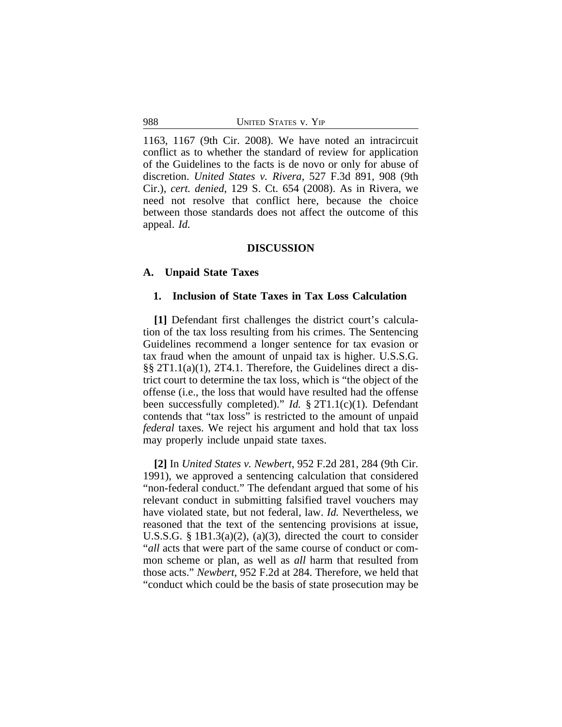1163, 1167 (9th Cir. 2008). We have noted an intracircuit conflict as to whether the standard of review for application of the Guidelines to the facts is de novo or only for abuse of discretion. *United States v. Rivera*, 527 F.3d 891, 908 (9th Cir.), *cert. denied*, 129 S. Ct. 654 (2008). As in Rivera, we need not resolve that conflict here, because the choice between those standards does not affect the outcome of this appeal. *Id.*

## **DISCUSSION**

## **A. Unpaid State Taxes**

#### **1. Inclusion of State Taxes in Tax Loss Calculation**

**[1]** Defendant first challenges the district court's calculation of the tax loss resulting from his crimes. The Sentencing Guidelines recommend a longer sentence for tax evasion or tax fraud when the amount of unpaid tax is higher. U.S.S.G. §§ 2T1.1(a)(1), 2T4.1. Therefore, the Guidelines direct a district court to determine the tax loss, which is "the object of the offense (i.e., the loss that would have resulted had the offense been successfully completed)." *Id.* § 2T1.1(c)(1). Defendant contends that "tax loss" is restricted to the amount of unpaid *federal* taxes. We reject his argument and hold that tax loss may properly include unpaid state taxes.

**[2]** In *United States v. Newbert*, 952 F.2d 281, 284 (9th Cir. 1991), we approved a sentencing calculation that considered "non-federal conduct." The defendant argued that some of his relevant conduct in submitting falsified travel vouchers may have violated state, but not federal, law. *Id.* Nevertheless, we reasoned that the text of the sentencing provisions at issue, U.S.S.G. § 1B1.3(a)(2), (a)(3), directed the court to consider "*all* acts that were part of the same course of conduct or common scheme or plan, as well as *all* harm that resulted from those acts." *Newbert*, 952 F.2d at 284. Therefore, we held that "conduct which could be the basis of state prosecution may be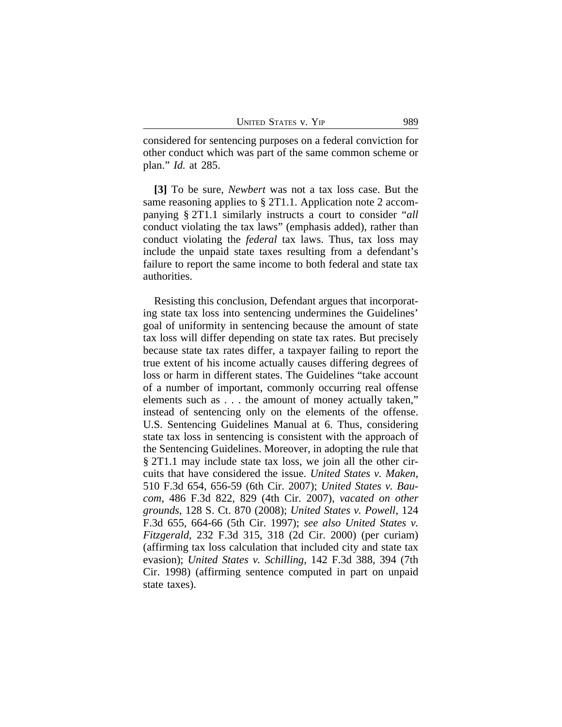considered for sentencing purposes on a federal conviction for other conduct which was part of the same common scheme or plan." *Id.* at 285.

**[3]** To be sure, *Newbert* was not a tax loss case. But the same reasoning applies to § 2T1.1. Application note 2 accompanying § 2T1.1 similarly instructs a court to consider "*all* conduct violating the tax laws" (emphasis added), rather than conduct violating the *federal* tax laws. Thus, tax loss may include the unpaid state taxes resulting from a defendant's failure to report the same income to both federal and state tax authorities.

Resisting this conclusion, Defendant argues that incorporating state tax loss into sentencing undermines the Guidelines' goal of uniformity in sentencing because the amount of state tax loss will differ depending on state tax rates. But precisely because state tax rates differ, a taxpayer failing to report the true extent of his income actually causes differing degrees of loss or harm in different states. The Guidelines "take account of a number of important, commonly occurring real offense elements such as . . . the amount of money actually taken," instead of sentencing only on the elements of the offense. U.S. Sentencing Guidelines Manual at 6. Thus, considering state tax loss in sentencing is consistent with the approach of the Sentencing Guidelines. Moreover, in adopting the rule that § 2T1.1 may include state tax loss, we join all the other circuits that have considered the issue. *United States v. Maken*, 510 F.3d 654, 656-59 (6th Cir. 2007); *United States v. Baucom*, 486 F.3d 822, 829 (4th Cir. 2007), *vacated on other grounds*, 128 S. Ct. 870 (2008); *United States v. Powell*, 124 F.3d 655, 664-66 (5th Cir. 1997); *see also United States v. Fitzgerald*, 232 F.3d 315, 318 (2d Cir. 2000) (per curiam) (affirming tax loss calculation that included city and state tax evasion); *United States v. Schilling*, 142 F.3d 388, 394 (7th Cir. 1998) (affirming sentence computed in part on unpaid state taxes).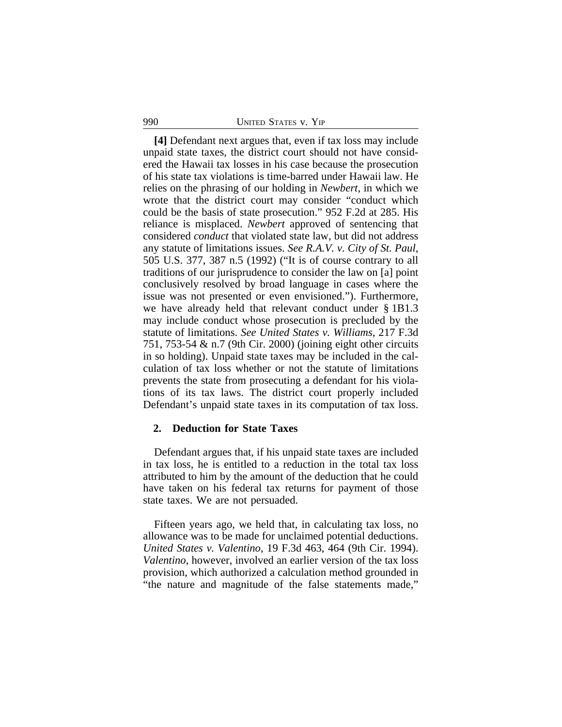## 990 UNITED STATES v. YIP

**[4]** Defendant next argues that, even if tax loss may include unpaid state taxes, the district court should not have considered the Hawaii tax losses in his case because the prosecution of his state tax violations is time-barred under Hawaii law. He relies on the phrasing of our holding in *Newbert*, in which we wrote that the district court may consider "conduct which could be the basis of state prosecution." 952 F.2d at 285. His reliance is misplaced. *Newbert* approved of sentencing that considered *conduct* that violated state law, but did not address any statute of limitations issues. *See R.A.V. v. City of St. Paul*, 505 U.S. 377, 387 n.5 (1992) ("It is of course contrary to all traditions of our jurisprudence to consider the law on [a] point conclusively resolved by broad language in cases where the issue was not presented or even envisioned."). Furthermore, we have already held that relevant conduct under § 1B1.3 may include conduct whose prosecution is precluded by the statute of limitations. *See United States v. Williams*, 217 F.3d 751, 753-54 & n.7 (9th Cir. 2000) (joining eight other circuits in so holding). Unpaid state taxes may be included in the calculation of tax loss whether or not the statute of limitations prevents the state from prosecuting a defendant for his violations of its tax laws. The district court properly included Defendant's unpaid state taxes in its computation of tax loss.

#### **2. Deduction for State Taxes**

Defendant argues that, if his unpaid state taxes are included in tax loss, he is entitled to a reduction in the total tax loss attributed to him by the amount of the deduction that he could have taken on his federal tax returns for payment of those state taxes. We are not persuaded.

Fifteen years ago, we held that, in calculating tax loss, no allowance was to be made for unclaimed potential deductions. *United States v. Valentino*, 19 F.3d 463, 464 (9th Cir. 1994). *Valentino*, however, involved an earlier version of the tax loss provision, which authorized a calculation method grounded in "the nature and magnitude of the false statements made,"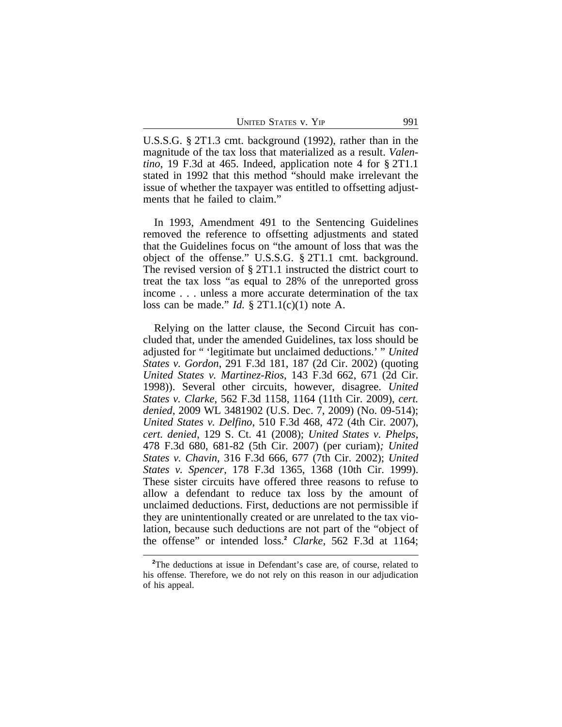| <b>UNITED STATES V. YIP</b> |  | 991 |
|-----------------------------|--|-----|
|-----------------------------|--|-----|

U.S.S.G. § 2T1.3 cmt. background (1992), rather than in the magnitude of the tax loss that materialized as a result. *Valentino*, 19 F.3d at 465. Indeed, application note 4 for § 2T1.1 stated in 1992 that this method "should make irrelevant the issue of whether the taxpayer was entitled to offsetting adjustments that he failed to claim."

In 1993, Amendment 491 to the Sentencing Guidelines removed the reference to offsetting adjustments and stated that the Guidelines focus on "the amount of loss that was the object of the offense." U.S.S.G. § 2T1.1 cmt. background. The revised version of § 2T1.1 instructed the district court to treat the tax loss "as equal to 28% of the unreported gross income . . . unless a more accurate determination of the tax loss can be made." *Id.* § 2T1.1(c)(1) note A.

Relying on the latter clause, the Second Circuit has concluded that, under the amended Guidelines, tax loss should be adjusted for " 'legitimate but unclaimed deductions.' " *United States v. Gordon*, 291 F.3d 181, 187 (2d Cir. 2002) (quoting *United States v. Martinez-Rios*, 143 F.3d 662, 671 (2d Cir. 1998)). Several other circuits, however, disagree. *United States v. Clarke*, 562 F.3d 1158, 1164 (11th Cir. 2009), *cert. denied*, 2009 WL 3481902 (U.S. Dec. 7, 2009) (No. 09-514); *United States v. Delfino*, 510 F.3d 468, 472 (4th Cir. 2007), *cert. denied*, 129 S. Ct. 41 (2008); *United States v. Phelps*, 478 F.3d 680, 681-82 (5th Cir. 2007) (per curiam)*; United States v. Chavin*, 316 F.3d 666, 677 (7th Cir. 2002); *United States v. Spencer*, 178 F.3d 1365, 1368 (10th Cir. 1999). These sister circuits have offered three reasons to refuse to allow a defendant to reduce tax loss by the amount of unclaimed deductions. First, deductions are not permissible if they are unintentionally created or are unrelated to the tax violation, because such deductions are not part of the "object of the offense" or intended loss.**<sup>2</sup>** *Clarke*, 562 F.3d at 1164;

<sup>&</sup>lt;sup>2</sup>The deductions at issue in Defendant's case are, of course, related to his offense. Therefore, we do not rely on this reason in our adjudication of his appeal.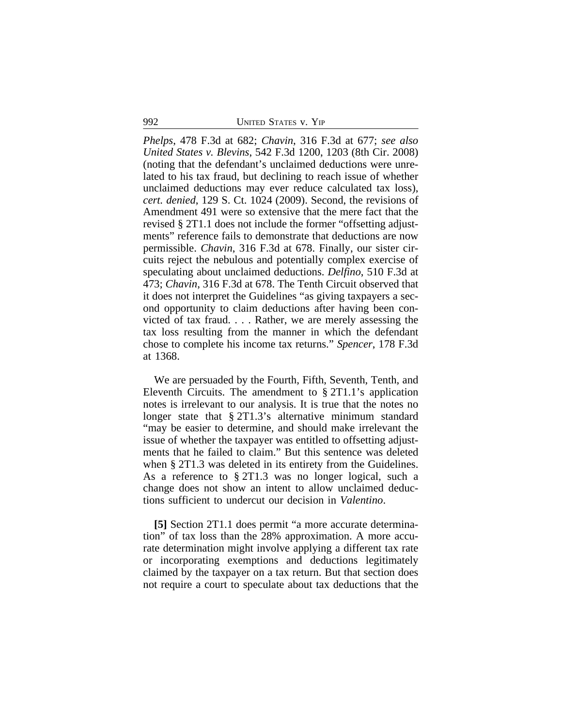992 UNITED STATES v. YIP

*Phelps*, 478 F.3d at 682; *Chavin*, 316 F.3d at 677; *see also United States v. Blevins*, 542 F.3d 1200, 1203 (8th Cir. 2008) (noting that the defendant's unclaimed deductions were unrelated to his tax fraud, but declining to reach issue of whether unclaimed deductions may ever reduce calculated tax loss), *cert. denied*, 129 S. Ct. 1024 (2009). Second, the revisions of Amendment 491 were so extensive that the mere fact that the revised § 2T1.1 does not include the former "offsetting adjustments" reference fails to demonstrate that deductions are now permissible. *Chavin*, 316 F.3d at 678. Finally, our sister circuits reject the nebulous and potentially complex exercise of speculating about unclaimed deductions. *Delfino*, 510 F.3d at 473; *Chavin*, 316 F.3d at 678. The Tenth Circuit observed that it does not interpret the Guidelines "as giving taxpayers a second opportunity to claim deductions after having been convicted of tax fraud. . . . Rather, we are merely assessing the tax loss resulting from the manner in which the defendant chose to complete his income tax returns." *Spencer*, 178 F.3d at 1368.

We are persuaded by the Fourth, Fifth, Seventh, Tenth, and Eleventh Circuits. The amendment to § 2T1.1's application notes is irrelevant to our analysis. It is true that the notes no longer state that § 2T1.3's alternative minimum standard "may be easier to determine, and should make irrelevant the issue of whether the taxpayer was entitled to offsetting adjustments that he failed to claim." But this sentence was deleted when § 2T1.3 was deleted in its entirety from the Guidelines. As a reference to § 2T1.3 was no longer logical, such a change does not show an intent to allow unclaimed deductions sufficient to undercut our decision in *Valentino*.

**[5]** Section 2T1.1 does permit "a more accurate determination" of tax loss than the 28% approximation. A more accurate determination might involve applying a different tax rate or incorporating exemptions and deductions legitimately claimed by the taxpayer on a tax return. But that section does not require a court to speculate about tax deductions that the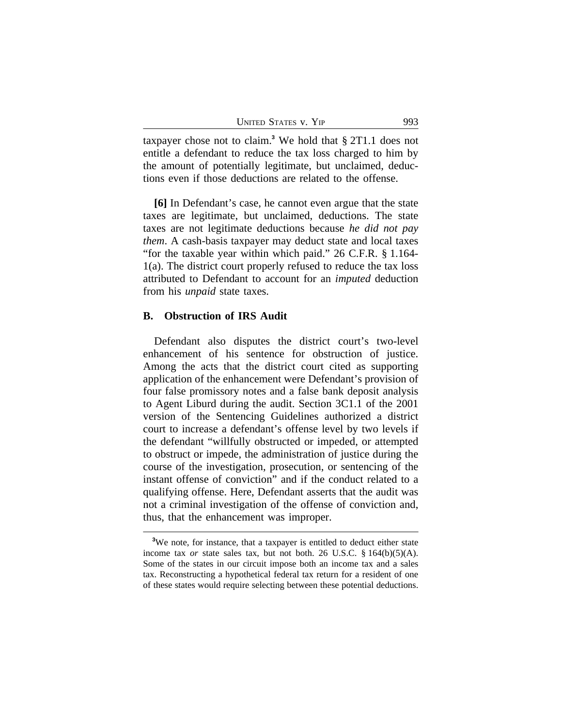| <b>UNITED STATES V. YIP</b> |  | 993 |
|-----------------------------|--|-----|
|-----------------------------|--|-----|

taxpayer chose not to claim.**<sup>3</sup>** We hold that § 2T1.1 does not entitle a defendant to reduce the tax loss charged to him by the amount of potentially legitimate, but unclaimed, deductions even if those deductions are related to the offense.

**[6]** In Defendant's case, he cannot even argue that the state taxes are legitimate, but unclaimed, deductions. The state taxes are not legitimate deductions because *he did not pay them*. A cash-basis taxpayer may deduct state and local taxes "for the taxable year within which paid." 26 C.F.R. § 1.164- 1(a). The district court properly refused to reduce the tax loss attributed to Defendant to account for an *imputed* deduction from his *unpaid* state taxes.

#### **B. Obstruction of IRS Audit**

Defendant also disputes the district court's two-level enhancement of his sentence for obstruction of justice. Among the acts that the district court cited as supporting application of the enhancement were Defendant's provision of four false promissory notes and a false bank deposit analysis to Agent Liburd during the audit. Section 3C1.1 of the 2001 version of the Sentencing Guidelines authorized a district court to increase a defendant's offense level by two levels if the defendant "willfully obstructed or impeded, or attempted to obstruct or impede, the administration of justice during the course of the investigation, prosecution, or sentencing of the instant offense of conviction" and if the conduct related to a qualifying offense. Here, Defendant asserts that the audit was not a criminal investigation of the offense of conviction and, thus, that the enhancement was improper.

**<sup>3</sup>**We note, for instance, that a taxpayer is entitled to deduct either state income tax *or* state sales tax, but not both. 26 U.S.C. § 164(b)(5)(A). Some of the states in our circuit impose both an income tax and a sales tax. Reconstructing a hypothetical federal tax return for a resident of one of these states would require selecting between these potential deductions.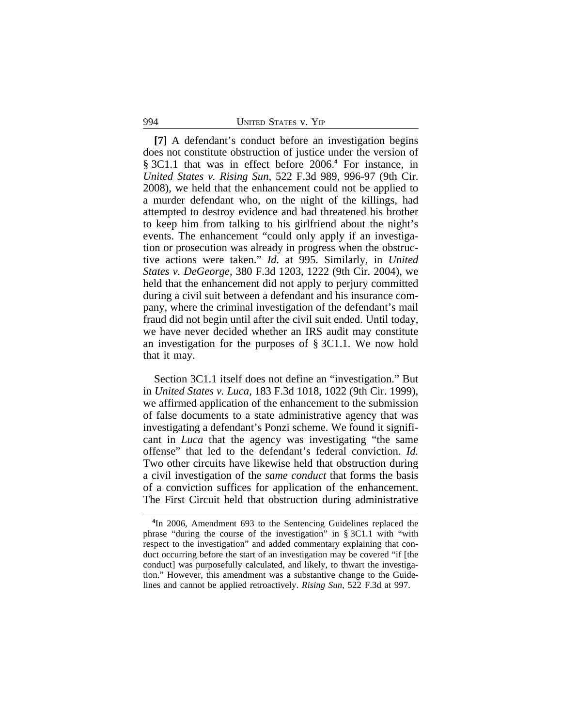#### 994 UNITED STATES v. YIP

**[7]** A defendant's conduct before an investigation begins does not constitute obstruction of justice under the version of § 3C1.1 that was in effect before 2006.<sup>4</sup> For instance, in *United States v. Rising Sun*, 522 F.3d 989, 996-97 (9th Cir. 2008), we held that the enhancement could not be applied to a murder defendant who, on the night of the killings, had attempted to destroy evidence and had threatened his brother to keep him from talking to his girlfriend about the night's events. The enhancement "could only apply if an investigation or prosecution was already in progress when the obstructive actions were taken." *Id.* at 995. Similarly, in *United States v. DeGeorge*, 380 F.3d 1203, 1222 (9th Cir. 2004), we held that the enhancement did not apply to perjury committed during a civil suit between a defendant and his insurance company, where the criminal investigation of the defendant's mail fraud did not begin until after the civil suit ended. Until today, we have never decided whether an IRS audit may constitute an investigation for the purposes of § 3C1.1. We now hold that it may.

Section 3C1.1 itself does not define an "investigation." But in *United States v. Luca*, 183 F.3d 1018, 1022 (9th Cir. 1999), we affirmed application of the enhancement to the submission of false documents to a state administrative agency that was investigating a defendant's Ponzi scheme. We found it significant in *Luca* that the agency was investigating "the same offense" that led to the defendant's federal conviction. *Id.* Two other circuits have likewise held that obstruction during a civil investigation of the *same conduct* that forms the basis of a conviction suffices for application of the enhancement. The First Circuit held that obstruction during administrative

**<sup>4</sup>** In 2006, Amendment 693 to the Sentencing Guidelines replaced the phrase "during the course of the investigation" in § 3C1.1 with "with respect to the investigation" and added commentary explaining that conduct occurring before the start of an investigation may be covered "if [the conduct] was purposefully calculated, and likely, to thwart the investigation." However, this amendment was a substantive change to the Guidelines and cannot be applied retroactively. *Rising Sun*, 522 F.3d at 997.